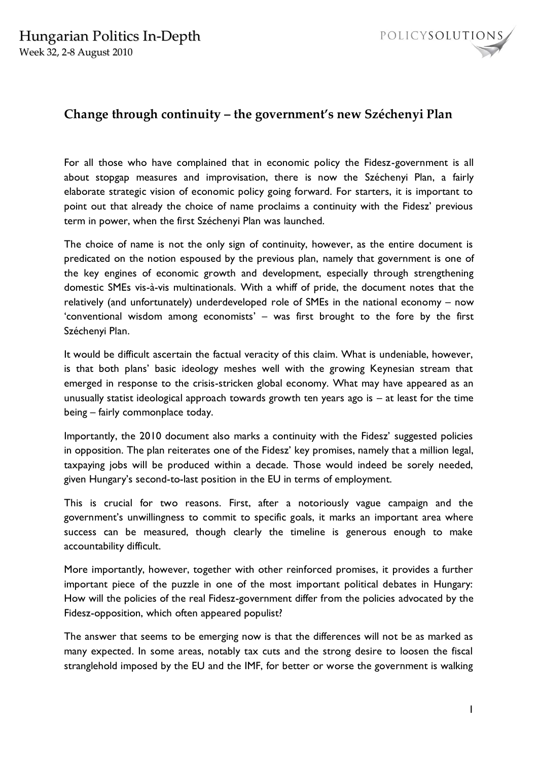

## **Change through continuity – the government's new Széchenyi Plan**

For all those who have complained that in economic policy the Fidesz-government is all about stopgap measures and improvisation, there is now the Széchenyi Plan, a fairly elaborate strategic vision of economic policy going forward. For starters, it is important to point out that already the choice of name proclaims a continuity with the Fidesz" previous term in power, when the first Széchenyi Plan was launched.

The choice of name is not the only sign of continuity, however, as the entire document is predicated on the notion espoused by the previous plan, namely that government is one of the key engines of economic growth and development, especially through strengthening domestic SMEs vis-à-vis multinationals. With a whiff of pride, the document notes that the relatively (and unfortunately) underdeveloped role of SMEs in the national economy – now 'conventional wisdom among economists' - was first brought to the fore by the first Széchenyi Plan.

It would be difficult ascertain the factual veracity of this claim. What is undeniable, however, is that both plans' basic ideology meshes well with the growing Keynesian stream that emerged in response to the crisis-stricken global economy. What may have appeared as an unusually statist ideological approach towards growth ten years ago is  $-$  at least for the time being – fairly commonplace today.

Importantly, the 2010 document also marks a continuity with the Fidesz" suggested policies in opposition. The plan reiterates one of the Fidesz' key promises, namely that a million legal, taxpaying jobs will be produced within a decade. Those would indeed be sorely needed, given Hungary's second-to-last position in the EU in terms of employment.

This is crucial for two reasons. First, after a notoriously vague campaign and the government's unwillingness to commit to specific goals, it marks an important area where success can be measured, though clearly the timeline is generous enough to make accountability difficult.

More importantly, however, together with other reinforced promises, it provides a further important piece of the puzzle in one of the most important political debates in Hungary: How will the policies of the real Fidesz-government differ from the policies advocated by the Fidesz-opposition, which often appeared populist?

The answer that seems to be emerging now is that the differences will not be as marked as many expected. In some areas, notably tax cuts and the strong desire to loosen the fiscal stranglehold imposed by the EU and the IMF, for better or worse the government is walking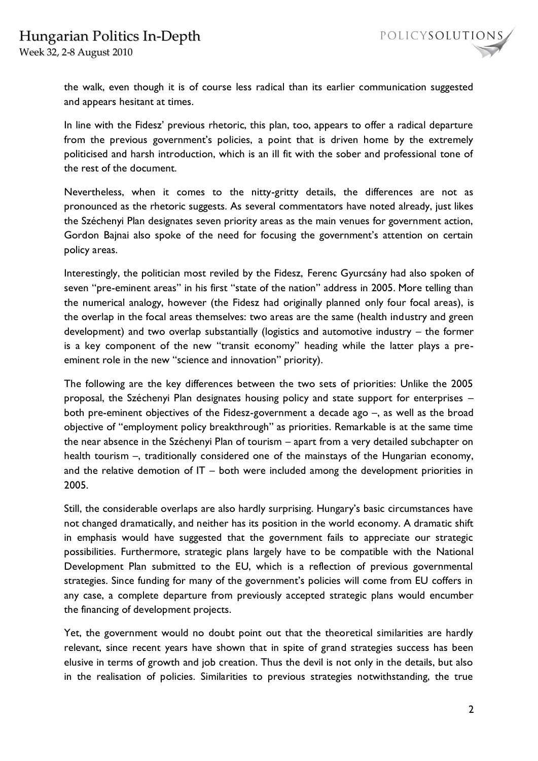



the walk, even though it is of course less radical than its earlier communication suggested and appears hesitant at times.

In line with the Fidesz' previous rhetoric, this plan, too, appears to offer a radical departure from the previous government's policies, a point that is driven home by the extremely politicised and harsh introduction, which is an ill fit with the sober and professional tone of the rest of the document.

Nevertheless, when it comes to the nitty-gritty details, the differences are not as pronounced as the rhetoric suggests. As several commentators have noted already, just likes the Széchenyi Plan designates seven priority areas as the main venues for government action, Gordon Bajnai also spoke of the need for focusing the government's attention on certain policy areas.

Interestingly, the politician most reviled by the Fidesz, Ferenc Gyurcsány had also spoken of seven "pre-eminent areas" in his first "state of the nation" address in 2005. More telling than the numerical analogy, however (the Fidesz had originally planned only four focal areas), is the overlap in the focal areas themselves: two areas are the same (health industry and green development) and two overlap substantially (logistics and automotive industry – the former is a key component of the new "transit economy" heading while the latter plays a preeminent role in the new "science and innovation" priority).

The following are the key differences between the two sets of priorities: Unlike the 2005 proposal, the Széchenyi Plan designates housing policy and state support for enterprises – both pre-eminent objectives of the Fidesz-government a decade ago –, as well as the broad objective of "employment policy breakthrough" as priorities. Remarkable is at the same time the near absence in the Széchenyi Plan of tourism – apart from a very detailed subchapter on health tourism –, traditionally considered one of the mainstays of the Hungarian economy, and the relative demotion of IT – both were included among the development priorities in 2005.

Still, the considerable overlaps are also hardly surprising. Hungary's basic circumstances have not changed dramatically, and neither has its position in the world economy. A dramatic shift in emphasis would have suggested that the government fails to appreciate our strategic possibilities. Furthermore, strategic plans largely have to be compatible with the National Development Plan submitted to the EU, which is a reflection of previous governmental strategies. Since funding for many of the government's policies will come from EU coffers in any case, a complete departure from previously accepted strategic plans would encumber the financing of development projects.

Yet, the government would no doubt point out that the theoretical similarities are hardly relevant, since recent years have shown that in spite of grand strategies success has been elusive in terms of growth and job creation. Thus the devil is not only in the details, but also in the realisation of policies. Similarities to previous strategies notwithstanding, the true